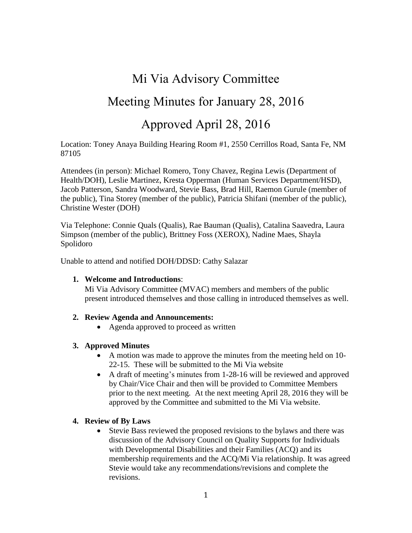# Mi Via Advisory Committee

# Meeting Minutes for January 28, 2016

# Approved April 28, 2016

Location: Toney Anaya Building Hearing Room #1, 2550 Cerrillos Road, Santa Fe, NM 87105

Attendees (in person): Michael Romero, Tony Chavez, Regina Lewis (Department of Health/DOH), Leslie Martinez, Kresta Opperman (Human Services Department/HSD), Jacob Patterson, Sandra Woodward, Stevie Bass, Brad Hill, Raemon Gurule (member of the public), Tina Storey (member of the public), Patricia Shifani (member of the public), Christine Wester (DOH)

Via Telephone: Connie Quals (Qualis), Rae Bauman (Qualis), Catalina Saavedra, Laura Simpson (member of the public), Brittney Foss (XEROX), Nadine Maes, Shayla Spolidoro

Unable to attend and notified DOH/DDSD: Cathy Salazar

### **1. Welcome and Introductions**:

Mi Via Advisory Committee (MVAC) members and members of the public present introduced themselves and those calling in introduced themselves as well.

### **2. Review Agenda and Announcements:**

• Agenda approved to proceed as written

### **3. Approved Minutes**

- A motion was made to approve the minutes from the meeting held on 10- 22-15. These will be submitted to the Mi Via website
- A draft of meeting's minutes from 1-28-16 will be reviewed and approved by Chair/Vice Chair and then will be provided to Committee Members prior to the next meeting. At the next meeting April 28, 2016 they will be approved by the Committee and submitted to the Mi Via website.

### **4. Review of By Laws**

 Stevie Bass reviewed the proposed revisions to the bylaws and there was discussion of the Advisory Council on Quality Supports for Individuals with Developmental Disabilities and their Families (ACQ) and its membership requirements and the ACQ/Mi Via relationship. It was agreed Stevie would take any recommendations/revisions and complete the revisions.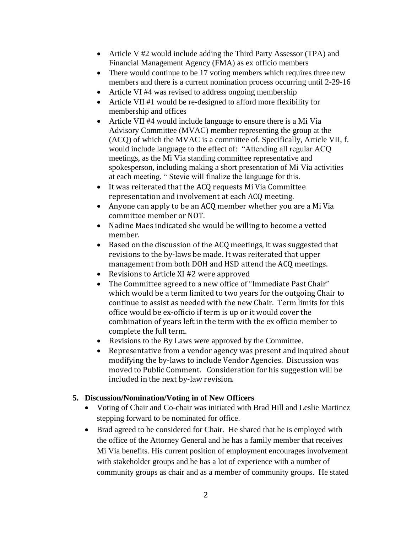- Article V #2 would include adding the Third Party Assessor (TPA) and Financial Management Agency (FMA) as ex officio members
- There would continue to be 17 voting members which requires three new members and there is a current nomination process occurring until 2-29-16
- Article VI #4 was revised to address ongoing membership
- Article VII #1 would be re-designed to afford more flexibility for membership and offices
- Article VII #4 would include language to ensure there is a Mi Via Advisory Committee (MVAC) member representing the group at the (ACQ) of which the MVAC is a committee of. Specifically, Article VII, f. would include language to the effect of: "Attending all regular ACQ meetings, as the Mi Via standing committee representative and spokesperson, including making a short presentation of Mi Via activities at each meeting. " Stevie will finalize the language for this.
- It was reiterated that the ACQ requests Mi Via Committee representation and involvement at each ACQ meeting.
- Anyone can apply to be an ACQ member whether you are a Mi Via committee member or NOT.
- Nadine Maes indicated she would be willing to become a vetted member.
- Based on the discussion of the ACQ meetings, it was suggested that revisions to the by-laws be made. It was reiterated that upper management from both DOH and HSD attend the ACQ meetings.
- Revisions to Article XI #2 were approved
- The Committee agreed to a new office of "Immediate Past Chair" which would be a term limited to two years for the outgoing Chair to continue to assist as needed with the new Chair. Term limits for this office would be ex-officio if term is up or it would cover the combination of years left in the term with the ex officio member to complete the full term.
- Revisions to the By Laws were approved by the Committee.
- Representative from a vendor agency was present and inquired about modifying the by-laws to include Vendor Agencies. Discussion was moved to Public Comment. Consideration for his suggestion will be included in the next by-law revision.

## **5. Discussion/Nomination/Voting in of New Officers**

- Voting of Chair and Co-chair was initiated with Brad Hill and Leslie Martinez stepping forward to be nominated for office.
- Brad agreed to be considered for Chair. He shared that he is employed with the office of the Attorney General and he has a family member that receives Mi Via benefits. His current position of employment encourages involvement with stakeholder groups and he has a lot of experience with a number of community groups as chair and as a member of community groups. He stated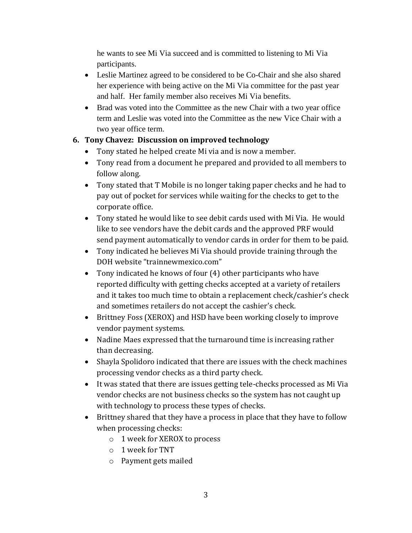he wants to see Mi Via succeed and is committed to listening to Mi Via participants.

- Leslie Martinez agreed to be considered to be Co-Chair and she also shared her experience with being active on the Mi Via committee for the past year and half. Her family member also receives Mi Via benefits.
- Brad was voted into the Committee as the new Chair with a two year office term and Leslie was voted into the Committee as the new Vice Chair with a two year office term.

# **6. Tony Chavez: Discussion on improved technology**

- Tony stated he helped create Mi via and is now a member.
- Tony read from a document he prepared and provided to all members to follow along.
- Tony stated that T Mobile is no longer taking paper checks and he had to pay out of pocket for services while waiting for the checks to get to the corporate office.
- Tony stated he would like to see debit cards used with Mi Via. He would like to see vendors have the debit cards and the approved PRF would send payment automatically to vendor cards in order for them to be paid.
- Tony indicated he believes Mi Via should provide training through the DOH website "trainnewmexico.com"
- Tony indicated he knows of four (4) other participants who have reported difficulty with getting checks accepted at a variety of retailers and it takes too much time to obtain a replacement check/cashier's check and sometimes retailers do not accept the cashier's check.
- Brittney Foss (XEROX) and HSD have been working closely to improve vendor payment systems.
- Nadine Maes expressed that the turnaround time is increasing rather than decreasing.
- Shayla Spolidoro indicated that there are issues with the check machines processing vendor checks as a third party check.
- It was stated that there are issues getting tele-checks processed as Mi Via vendor checks are not business checks so the system has not caught up with technology to process these types of checks.
- Brittney shared that they have a process in place that they have to follow when processing checks:
	- o 1 week for XEROX to process
	- o 1 week for TNT
	- o Payment gets mailed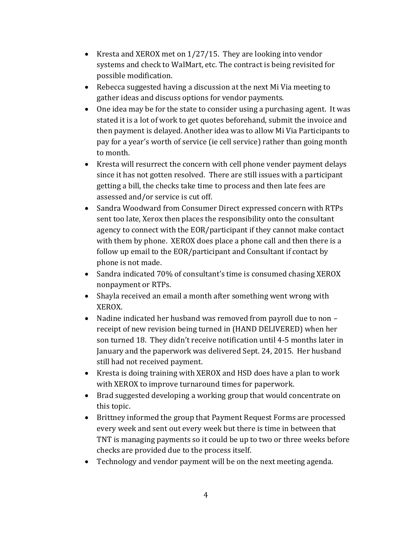- Kresta and XEROX met on  $1/27/15$ . They are looking into vendor systems and check to WalMart, etc. The contract is being revisited for possible modification.
- Rebecca suggested having a discussion at the next Mi Via meeting to gather ideas and discuss options for vendor payments.
- One idea may be for the state to consider using a purchasing agent. It was stated it is a lot of work to get quotes beforehand, submit the invoice and then payment is delayed. Another idea was to allow Mi Via Participants to pay for a year's worth of service (ie cell service) rather than going month to month.
- Kresta will resurrect the concern with cell phone vender payment delays since it has not gotten resolved. There are still issues with a participant getting a bill, the checks take time to process and then late fees are assessed and/or service is cut off.
- Sandra Woodward from Consumer Direct expressed concern with RTPs sent too late, Xerox then places the responsibility onto the consultant agency to connect with the EOR/participant if they cannot make contact with them by phone. XEROX does place a phone call and then there is a follow up email to the EOR/participant and Consultant if contact by phone is not made.
- Sandra indicated 70% of consultant's time is consumed chasing XEROX nonpayment or RTPs.
- Shayla received an email a month after something went wrong with XEROX.
- Nadine indicated her husband was removed from payroll due to non receipt of new revision being turned in (HAND DELIVERED) when her son turned 18. They didn't receive notification until 4-5 months later in January and the paperwork was delivered Sept. 24, 2015. Her husband still had not received payment.
- Kresta is doing training with XEROX and HSD does have a plan to work with XEROX to improve turnaround times for paperwork.
- Brad suggested developing a working group that would concentrate on this topic.
- Brittney informed the group that Payment Request Forms are processed every week and sent out every week but there is time in between that TNT is managing payments so it could be up to two or three weeks before checks are provided due to the process itself.
- Technology and vendor payment will be on the next meeting agenda.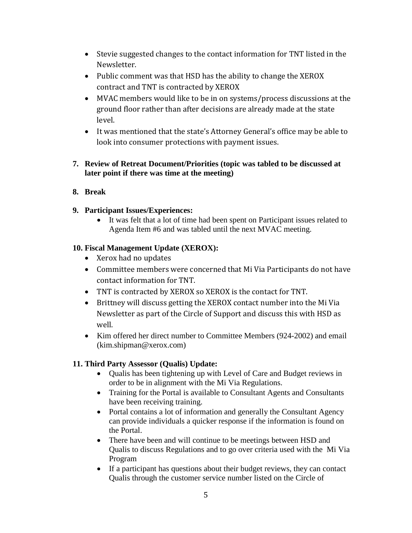- Stevie suggested changes to the contact information for TNT listed in the Newsletter.
- Public comment was that HSD has the ability to change the XEROX contract and TNT is contracted by XEROX
- MVAC members would like to be in on systems/process discussions at the ground floor rather than after decisions are already made at the state level.
- It was mentioned that the state's Attorney General's office may be able to look into consumer protections with payment issues.
- **7. Review of Retreat Document/Priorities (topic was tabled to be discussed at later point if there was time at the meeting)**

## **8. Break**

## **9. Participant Issues/Experiences:**

 It was felt that a lot of time had been spent on Participant issues related to Agenda Item #6 and was tabled until the next MVAC meeting.

## **10. Fiscal Management Update (XEROX):**

- Xerox had no updates
- Committee members were concerned that Mi Via Participants do not have contact information for TNT.
- TNT is contracted by XEROX so XEROX is the contact for TNT.
- Brittney will discuss getting the XEROX contact number into the Mi Via Newsletter as part of the Circle of Support and discuss this with HSD as well.
- Kim offered her direct number to Committee Members (924-2002) and email (kim.shipman@xerox.com)

## **11. Third Party Assessor (Qualis) Update:**

- Qualis has been tightening up with Level of Care and Budget reviews in order to be in alignment with the Mi Via Regulations.
- Training for the Portal is available to Consultant Agents and Consultants have been receiving training.
- Portal contains a lot of information and generally the Consultant Agency can provide individuals a quicker response if the information is found on the Portal.
- There have been and will continue to be meetings between HSD and Qualis to discuss Regulations and to go over criteria used with the Mi Via Program
- If a participant has questions about their budget reviews, they can contact Qualis through the customer service number listed on the Circle of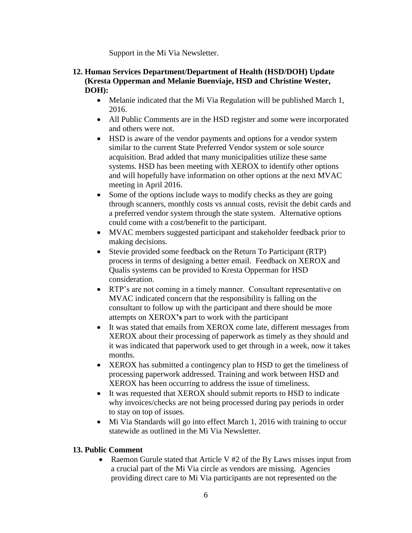Support in the Mi Via Newsletter.

## **12. Human Services Department/Department of Health (HSD/DOH) Update (Kresta Opperman and Melanie Buenviaje, HSD and Christine Wester, DOH):**

- Melanie indicated that the Mi Via Regulation will be published March 1, 2016.
- All Public Comments are in the HSD register and some were incorporated and others were not.
- HSD is aware of the vendor payments and options for a vendor system similar to the current State Preferred Vendor system or sole source acquisition. Brad added that many municipalities utilize these same systems. HSD has been meeting with XEROX to identify other options and will hopefully have information on other options at the next MVAC meeting in April 2016.
- Some of the options include ways to modify checks as they are going through scanners, monthly costs vs annual costs, revisit the debit cards and a preferred vendor system through the state system. Alternative options could come with a cost/benefit to the participant.
- MVAC members suggested participant and stakeholder feedback prior to making decisions.
- Stevie provided some feedback on the Return To Participant (RTP) process in terms of designing a better email. Feedback on XEROX and Qualis systems can be provided to Kresta Opperman for HSD consideration.
- RTP's are not coming in a timely manner. Consultant representative on MVAC indicated concern that the responsibility is falling on the consultant to follow up with the participant and there should be more attempts on XEROX**'s** part to work with the participant
- It was stated that emails from XEROX come late, different messages from XEROX about their processing of paperwork as timely as they should and it was indicated that paperwork used to get through in a week, now it takes months.
- XEROX has submitted a contingency plan to HSD to get the timeliness of processing paperwork addressed. Training and work between HSD and XEROX has been occurring to address the issue of timeliness.
- It was requested that XEROX should submit reports to HSD to indicate why invoices/checks are not being processed during pay periods in order to stay on top of issues.
- Mi Via Standards will go into effect March 1, 2016 with training to occur statewide as outlined in the Mi Via Newsletter.

# **13. Public Comment**

• Raemon Gurule stated that Article V  $#2$  of the By Laws misses input from a crucial part of the Mi Via circle as vendors are missing. Agencies providing direct care to Mi Via participants are not represented on the